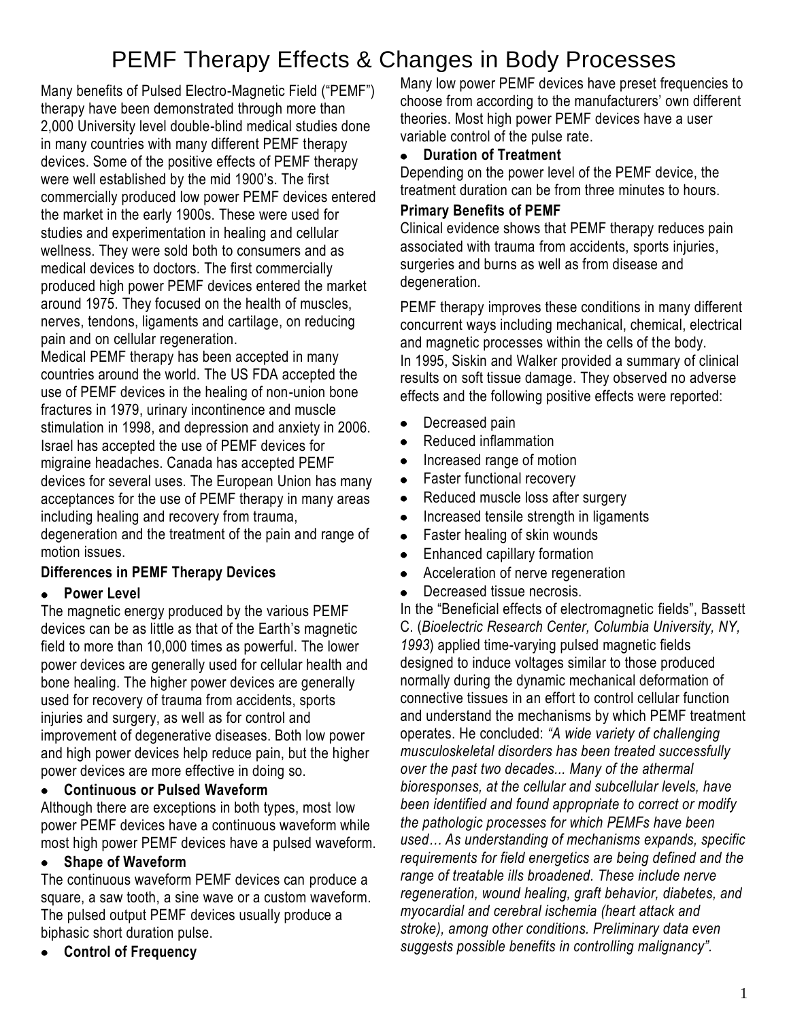# PEMF Therapy Effects & Changes in Body Processes

Many benefits of Pulsed Electro-Magnetic Field ("PEMF") therapy have been demonstrated through more than 2,000 University level double-blind medical studies done in many countries with many different PEMF therapy devices. Some of the positive effects of PEMF therapy were well established by the mid 1900's. The first commercially produced low power PEMF devices entered the market in the early 1900s. These were used for studies and experimentation in healing and cellular wellness. They were sold both to consumers and as medical devices to doctors. The first commercially produced high power PEMF devices entered the market around 1975. They focused on the health of muscles, nerves, tendons, ligaments and cartilage, on reducing pain and on cellular regeneration.

Medical PEMF therapy has been accepted in many countries around the world. The US FDA accepted the use of PEMF devices in the healing of non-union bone fractures in 1979, urinary incontinence and muscle stimulation in 1998, and depression and anxiety in 2006. Israel has accepted the use of PEMF devices for migraine headaches. Canada has accepted PEMF devices for several uses. The European Union has many acceptances for the use of PEMF therapy in many areas including healing and recovery from trauma, degeneration and the treatment of the pain and range of motion issues.

# **Differences in PEMF Therapy Devices**

# **Power Level**

The magnetic energy produced by the various PEMF devices can be as little as that of the Earth's magnetic field to more than 10,000 times as powerful. The lower power devices are generally used for cellular health and bone healing. The higher power devices are generally used for recovery of trauma from accidents, sports injuries and surgery, as well as for control and improvement of degenerative diseases. Both low power and high power devices help reduce pain, but the higher power devices are more effective in doing so.

# **Continuous or Pulsed Waveform**

Although there are exceptions in both types, most low power PEMF devices have a continuous waveform while most high power PEMF devices have a pulsed waveform.

#### **Shape of Waveform**  $\bullet$

The continuous waveform PEMF devices can produce a square, a saw tooth, a sine wave or a custom waveform. The pulsed output PEMF devices usually produce a biphasic short duration pulse.

**Control of Frequency**

Many low power PEMF devices have preset frequencies to choose from according to the manufacturers' own different theories. Most high power PEMF devices have a user variable control of the pulse rate.

#### **Duration of Treatment**  $\bullet$

Depending on the power level of the PEMF device, the treatment duration can be from three minutes to hours.

# **Primary Benefits of PEMF**

Clinical evidence shows that PEMF therapy reduces pain associated with trauma from accidents, sports injuries, surgeries and burns as well as from disease and degeneration.

PEMF therapy improves these conditions in many different concurrent ways including mechanical, chemical, electrical and magnetic processes within the cells of the body. In 1995, Siskin and Walker provided a summary of clinical results on soft tissue damage. They observed no adverse effects and the following positive effects were reported:

- Decreased pain  $\bullet$
- Reduced inflammation
- Increased range of motion
- Faster functional recovery  $\bullet$
- Reduced muscle loss after surgery  $\bullet$
- Increased tensile strength in ligaments
- Faster healing of skin wounds  $\bullet$
- Enhanced capillary formation  $\bullet$
- Acceleration of nerve regeneration  $\bullet$
- Decreased tissue necrosis.

In the "Beneficial effects of electromagnetic fields", Bassett C. (*Bioelectric Research Center, Columbia University, NY, 1993*) applied time-varying pulsed magnetic fields designed to induce voltages similar to those produced normally during the dynamic mechanical deformation of connective tissues in an effort to control cellular function and understand the mechanisms by which PEMF treatment operates. He concluded: *"A wide variety of challenging musculoskeletal disorders has been treated successfully over the past two decades... Many of the athermal bioresponses, at the cellular and subcellular levels, have been identified and found appropriate to correct or modify the pathologic processes for which PEMFs have been used… As understanding of mechanisms expands, specific requirements for field energetics are being defined and the range of treatable ills broadened. These include nerve regeneration, wound healing, graft behavior, diabetes, and myocardial and cerebral ischemia (heart attack and stroke), among other conditions. Preliminary data even suggests possible benefits in controlling malignancy".*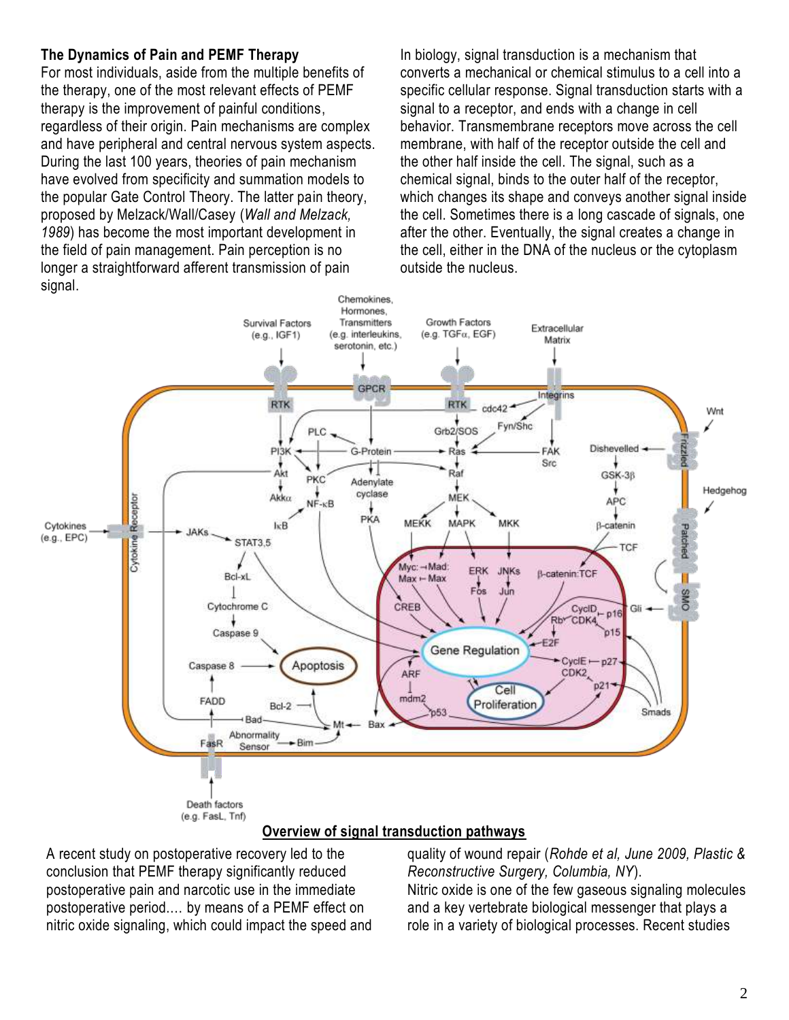# **The Dynamics of Pain and PEMF Therapy**

For most individuals, aside from the multiple benefits of the therapy, one of the most relevant effects of PEMF therapy is the improvement of painful conditions, regardless of their origin. Pain mechanisms are complex and have peripheral and central nervous system aspects. During the last 100 years, theories of pain mechanism have evolved from specificity and summation models to the popular Gate Control Theory. The latter pain theory, proposed by Melzack/Wall/Casey (*Wall and Melzack, 1989*) has become the most important development in the field of pain management. Pain perception is no longer a straightforward afferent transmission of pain signal.

In biology, signal transduction is a mechanism that converts a mechanical or chemical stimulus to a cell into a specific cellular response. Signal transduction starts with a signal to a receptor, and ends with a change in cell behavior. Transmembrane receptors move across the cell membrane, with half of the receptor outside the cell and the other half inside the cell. The signal, such as a chemical signal, binds to the outer half of the receptor, which changes its shape and conveys another signal inside the cell. Sometimes there is a long cascade of signals, one after the other. Eventually, the signal creates a change in the cell, either in the DNA of the nucleus or the cytoplasm outside the nucleus.



# **Overview of signal transduction pathways**

A recent study on postoperative recovery led to the conclusion that PEMF therapy significantly reduced postoperative pain and narcotic use in the immediate postoperative period.… by means of a PEMF effect on nitric oxide signaling, which could impact the speed and quality of wound repair (*Rohde et al, June 2009, Plastic & Reconstructive Surgery, Columbia, NY*).

Nitric oxide is one of the few gaseous signaling molecules and a key vertebrate biological messenger that plays a role in a variety of biological processes. Recent studies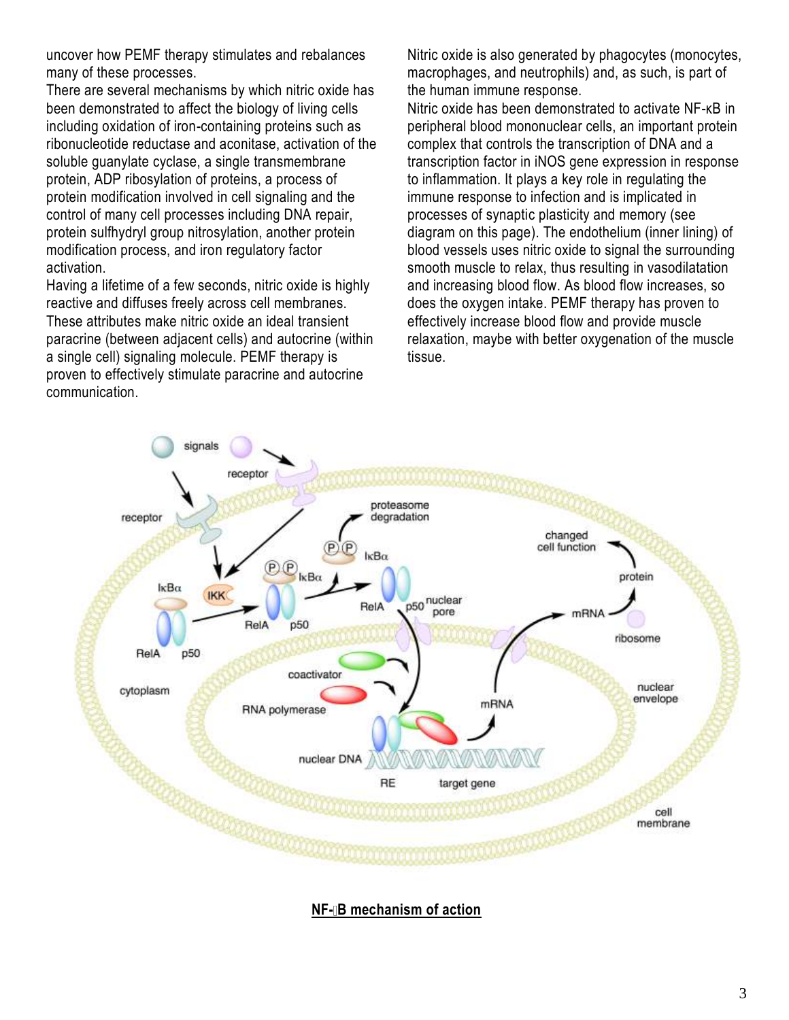uncover how PEMF therapy stimulates and rebalances many of these processes.

There are several mechanisms by which nitric oxide has been demonstrated to affect the biology of living cells including oxidation of iron-containing proteins such as ribonucleotide reductase and aconitase, activation of the soluble guanylate cyclase, a single transmembrane protein, ADP ribosylation of proteins, a process of protein modification involved in cell signaling and the control of many cell processes including DNA repair, protein sulfhydryl group nitrosylation, another protein modification process, and iron regulatory factor activation.

Having a lifetime of a few seconds, nitric oxide is highly reactive and diffuses freely across cell membranes. These attributes make nitric oxide an ideal transient paracrine (between adjacent cells) and autocrine (within a single cell) signaling molecule. PEMF therapy is proven to effectively stimulate paracrine and autocrine communication.

Nitric oxide is also generated by phagocytes (monocytes, macrophages, and neutrophils) and, as such, is part of the human immune response.

Nitric oxide has been demonstrated to activate NF-κB in peripheral blood mononuclear cells, an important protein complex that controls the transcription of DNA and a transcription factor in iNOS gene expression in response to inflammation. It plays a key role in regulating the immune response to infection and is implicated in processes of synaptic plasticity and memory (see diagram on this page). The endothelium (inner lining) of blood vessels uses nitric oxide to signal the surrounding smooth muscle to relax, thus resulting in vasodilatation and increasing blood flow. As blood flow increases, so does the oxygen intake. PEMF therapy has proven to effectively increase blood flow and provide muscle relaxation, maybe with better oxygenation of the muscle tissue.



**NF- B** mechanism of action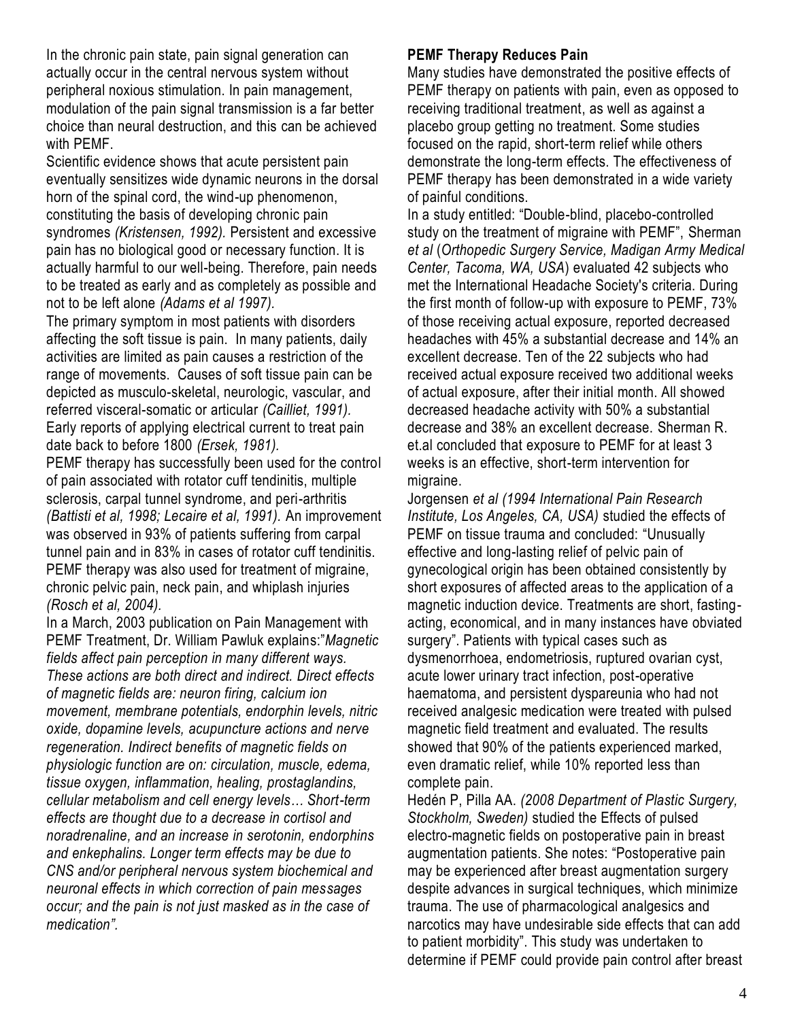In the chronic pain state, pain signal generation can actually occur in the central nervous system without peripheral noxious stimulation. In pain management, modulation of the pain signal transmission is a far better choice than neural destruction, and this can be achieved with PEMF.

Scientific evidence shows that acute persistent pain eventually sensitizes wide dynamic neurons in the dorsal horn of the spinal cord, the wind-up phenomenon, constituting the basis of developing chronic pain syndromes *(Kristensen, 1992).* Persistent and excessive pain has no biological good or necessary function. It is actually harmful to our well-being. Therefore, pain needs to be treated as early and as completely as possible and not to be left alone *(Adams et al 1997).*

The primary symptom in most patients with disorders affecting the soft tissue is pain. In many patients, daily activities are limited as pain causes a restriction of the range of movements. Causes of soft tissue pain can be depicted as musculo-skeletal, neurologic, vascular, and referred visceral-somatic or articular *(Cailliet, 1991).*  Early reports of applying electrical current to treat pain date back to before 1800 *(Ersek, 1981).*

PEMF therapy has successfully been used for the control of pain associated with rotator cuff tendinitis, multiple sclerosis, carpal tunnel syndrome, and peri-arthritis *(Battisti et al, 1998; Lecaire et al, 1991).* An improvement was observed in 93% of patients suffering from carpal tunnel pain and in 83% in cases of rotator cuff tendinitis. PEMF therapy was also used for treatment of migraine, chronic pelvic pain, neck pain, and whiplash injuries *(Rosch et al, 2004).*

In a March, 2003 publication on Pain Management with PEMF Treatment, Dr. William Pawluk explains:"Magnetic *fields affect pain perception in many different ways. These actions are both direct and indirect. Direct effects of magnetic fields are: neuron firing, calcium ion movement, membrane potentials, endorphin levels, nitric oxide, dopamine levels, acupuncture actions and nerve regeneration. Indirect benefits of magnetic fields on physiologic function are on: circulation, muscle, edema, tissue oxygen, inflammation, healing, prostaglandins, cellular metabolism and cell energy levels… Short-term effects are thought due to a decrease in cortisol and noradrenaline, and an increase in serotonin, endorphins and enkephalins. Longer term effects may be due to CNS and/or peripheral nervous system biochemical and neuronal effects in which correction of pain messages occur; and the pain is not just masked as in the case of medication".*

## **PEMF Therapy Reduces Pain**

Many studies have demonstrated the positive effects of PEMF therapy on patients with pain, even as opposed to receiving traditional treatment, as well as against a placebo group getting no treatment. Some studies focused on the rapid, short-term relief while others demonstrate the long-term effects. The effectiveness of PEMF therapy has been demonstrated in a wide variety of painful conditions.

In a study entitled: "Double-blind, placebo-controlled study on the treatment of migraine with PEMF", Sherman *et al* (*Orthopedic Surgery Service, Madigan Army Medical Center, Tacoma, WA, USA*) evaluated 42 subjects who met the International Headache Society's criteria. During the first month of follow-up with exposure to PEMF, 73% of those receiving actual exposure, reported decreased headaches with 45% a substantial decrease and 14% an excellent decrease. Ten of the 22 subjects who had received actual exposure received two additional weeks of actual exposure, after their initial month. All showed decreased headache activity with 50% a substantial decrease and 38% an excellent decrease. Sherman R. et.al concluded that exposure to PEMF for at least 3 weeks is an effective, short-term intervention for migraine.

Jorgensen *et al (1994 International Pain Research Institute, Los Angeles, CA, USA)* studied the effects of PEMF on tissue trauma and concluded: "Unusually effective and long-lasting relief of pelvic pain of gynecological origin has been obtained consistently by short exposures of affected areas to the application of a magnetic induction device. Treatments are short, fastingacting, economical, and in many instances have obviated surgery". Patients with typical cases such as dysmenorrhoea, endometriosis, ruptured ovarian cyst, acute lower urinary tract infection, post-operative haematoma, and persistent dyspareunia who had not received analgesic medication were treated with pulsed magnetic field treatment and evaluated. The results showed that 90% of the patients experienced marked, even dramatic relief, while 10% reported less than complete pain.

[Hedén P,](http://www.ncbi.nlm.nih.gov/pubmed?term=%22Hed%C3%A9n%20P%22%5BAuthor%5D&itool=EntrezSystem2.PEntrez.Pubmed.Pubmed_ResultsPanel.Pubmed_RVAbstract) [Pilla AA.](http://www.ncbi.nlm.nih.gov/pubmed?term=%22Pilla%20AA%22%5BAuthor%5D&itool=EntrezSystem2.PEntrez.Pubmed.Pubmed_ResultsPanel.Pubmed_RVAbstract) *(2008 Department of Plastic Surgery, Stockholm, Sweden)* studied the Effects of pulsed electro-magnetic fields on postoperative pain in breast augmentation patients. She notes: "Postoperative pain may be experienced after breast augmentation surgery despite advances in surgical techniques, which minimize trauma. The use of pharmacological analgesics and narcotics may have undesirable side effects that can add to patient morbidity". This study was undertaken to determine if PEMF could provide pain control after breast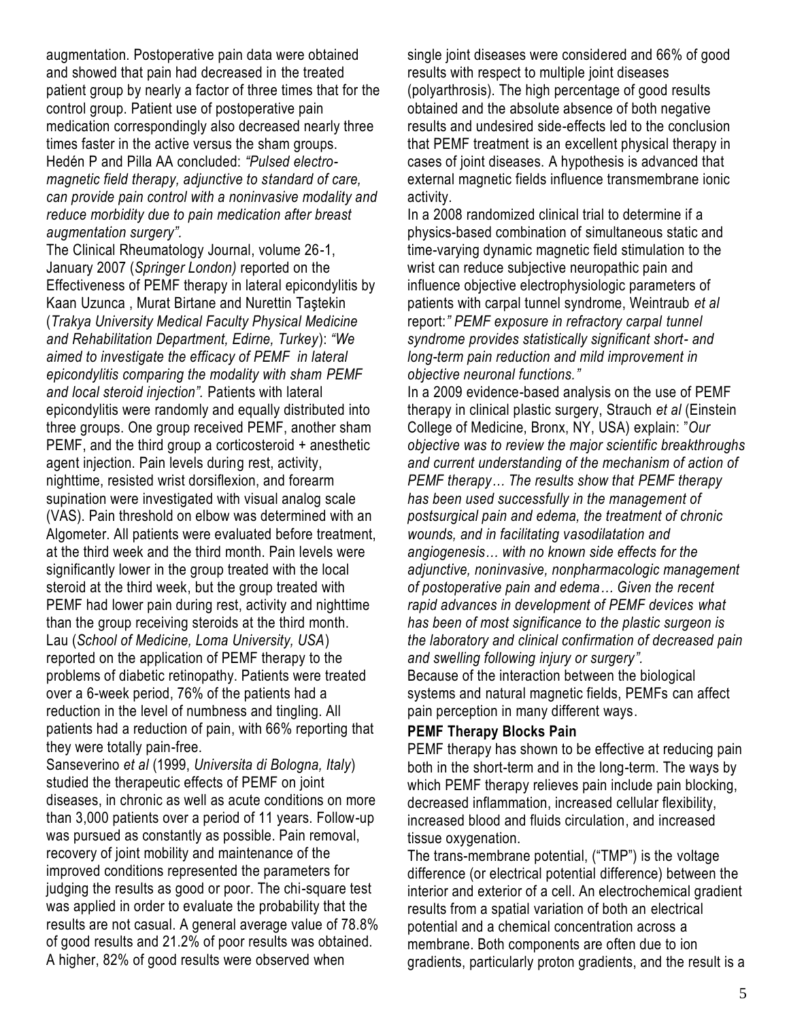augmentation. Postoperative pain data were obtained and showed that pain had decreased in the treated patient group by nearly a factor of three times that for the control group. Patient use of postoperative pain medication correspondingly also decreased nearly three times faster in the active versus the sham groups. [Hedén P](http://www.ncbi.nlm.nih.gov/pubmed?term=%22Hed%C3%A9n%20P%22%5BAuthor%5D&itool=EntrezSystem2.PEntrez.Pubmed.Pubmed_ResultsPanel.Pubmed_RVAbstract) and [Pilla AA](http://www.ncbi.nlm.nih.gov/pubmed?term=%22Pilla%20AA%22%5BAuthor%5D&itool=EntrezSystem2.PEntrez.Pubmed.Pubmed_ResultsPanel.Pubmed_RVAbstract) concluded: *"Pulsed electromagnetic field therapy, adjunctive to standard of care, can provide pain control with a noninvasive modality and reduce morbidity due to pain medication after breast augmentation surgery".*

The Clinical Rheumatology Journal, volume 26-1, January 2007 (*Springer London)* reported on the Effectiveness of PEMF therapy in lateral epicondylitis by Kaan Uzunca , Murat Birtane and Nurettin Taştekin (*Trakya University Medical Faculty Physical Medicine and Rehabilitation Department, Edirne, Turkey*): *"We aimed to investigate the efficacy of PEMF in lateral epicondylitis comparing the modality with sham PEMF and local steroid injection".* Patients with lateral epicondylitis were randomly and equally distributed into three groups. One group received PEMF, another sham PEMF, and the third group a corticosteroid + anesthetic agent injection. Pain levels during rest, activity, nighttime, resisted wrist dorsiflexion, and forearm supination were investigated with visual analog scale (VAS). Pain threshold on elbow was determined with an Algometer. All patients were evaluated before treatment, at the third week and the third month. Pain levels were significantly lower in the group treated with the local steroid at the third week, but the group treated with PEMF had lower pain during rest, activity and nighttime than the group receiving steroids at the third month. Lau (*School of Medicine, Loma University, USA*) reported on the application of PEMF therapy to the problems of diabetic retinopathy. Patients were treated over a 6-week period, 76% of the patients had a reduction in the level of numbness and tingling. All patients had a reduction of pain, with 66% reporting that they were totally pain-free.

Sanseverino *et al* (1999, *Universita di Bologna, Italy*) studied the therapeutic effects of PEMF on joint diseases, in chronic as well as acute conditions on more than 3,000 patients over a period of 11 years. Follow-up was pursued as constantly as possible. Pain removal, recovery of joint mobility and maintenance of the improved conditions represented the parameters for judging the results as good or poor. The chi-square test was applied in order to evaluate the probability that the results are not casual. A general average value of 78.8% of good results and 21.2% of poor results was obtained. A higher, 82% of good results were observed when

single joint diseases were considered and 66% of good results with respect to multiple joint diseases (polyarthrosis). The high percentage of good results obtained and the absolute absence of both negative results and undesired side-effects led to the conclusion that PEMF treatment is an excellent physical therapy in cases of joint diseases. A hypothesis is advanced that external magnetic fields influence transmembrane ionic activity.

In a 2008 randomized clinical trial to determine if a physics-based combination of simultaneous static and time-varying dynamic magnetic field stimulation to the wrist can reduce subjective neuropathic pain and influence objective electrophysiologic parameters of patients with carpal tunnel syndrome, Weintraub *et al* report:*" PEMF exposure in refractory carpal tunnel syndrome provides statistically significant short- and long-term pain reduction and mild improvement in objective neuronal functions."*

In a 2009 evidence-based analysis on the use of PEMF therapy in clinical plastic surgery, Strauch *et al* (Einstein College of Medicine, Bronx, NY, USA) explain: "Our *objective was to review the major scientific breakthroughs and current understanding of the mechanism of action of PEMF therapy… The results show that PEMF therapy has been used successfully in the management of postsurgical pain and edema, the treatment of chronic wounds, and in facilitating vasodilatation and angiogenesis… with no known side effects for the adjunctive, noninvasive, nonpharmacologic management of postoperative pain and edema… Given the recent rapid advances in development of PEMF devices what has been of most significance to the plastic surgeon is the laboratory and clinical confirmation of decreased pain and swelling following injury or surgery".* Because of the interaction between the biological

systems and natural magnetic fields, PEMFs can affect pain perception in many different ways.

### **PEMF Therapy Blocks Pain**

PEMF therapy has shown to be effective at reducing pain both in the short-term and in the long-term. The ways by which PEMF therapy relieves pain include pain blocking, decreased inflammation, increased cellular flexibility, increased blood and fluids circulation, and increased tissue oxygenation.

The trans-membrane potential, ("TMP") is the [voltage](http://en.wikipedia.org/wiki/Voltage) difference (or [electrical potential](http://en.wikipedia.org/wiki/Electrical_potential) difference) between the interior and exterior of a cell. An electrochemical gradient results from a spatial variation of both an [electrical](http://en.wikipedia.org/wiki/Electrical_potential)  [potential](http://en.wikipedia.org/wiki/Electrical_potential) and a chemical concentration across a membrane. Both components are often due to ion gradients, particularly proton gradients, and the result is a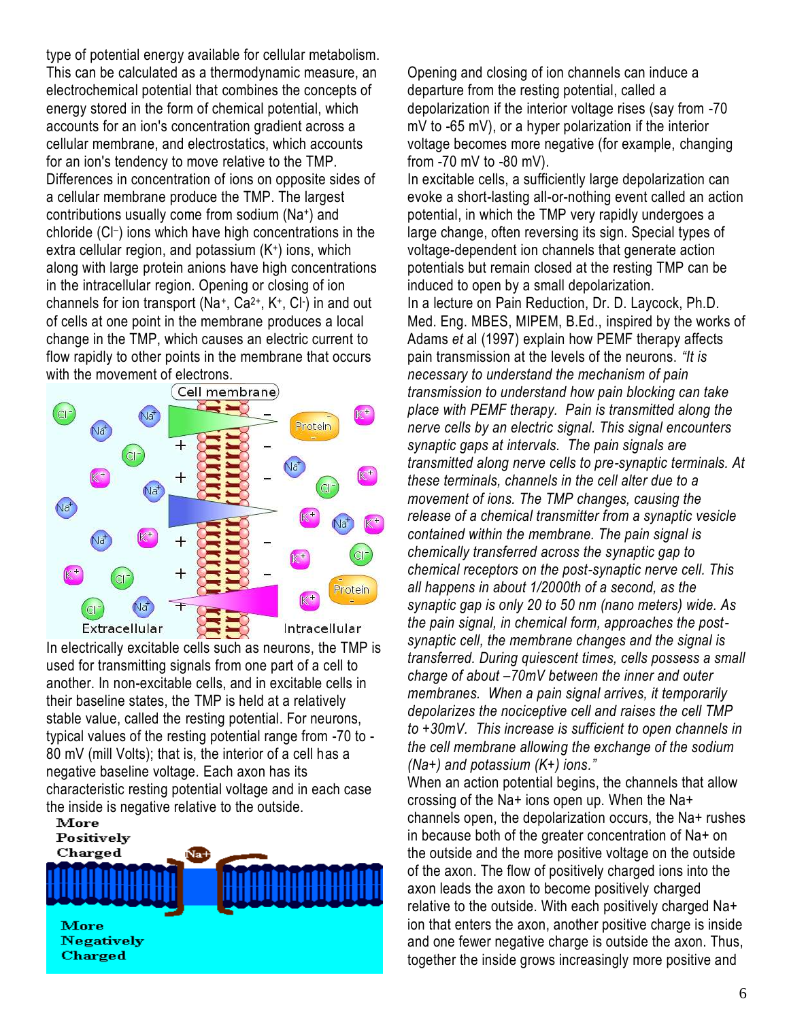type of potential energy available for cellular metabolism. This can be calculated as a thermodynamic measure, an electrochemical potential that combines the concepts of energy stored in the form of chemical potential, which accounts for an ion's concentration gradient across a cellular membrane, and electrostatics, which accounts for an ion's tendency to move relative to the TMP. Differences in concentration of [ions](http://en.wikipedia.org/wiki/Ion) on opposite sides of a [cellular membrane](http://en.wikipedia.org/wiki/Plasma_membrane) produce the TMP. The largest contributions usually come from [sodium](http://en.wikipedia.org/wiki/Sodium) (Na<sup>+</sup> ) and [chloride](http://en.wikipedia.org/wiki/Chloride) (Cl– ) ions which have high concentrations in the [extra cellular](http://en.wikipedia.org/wiki/Extracellular) region, and [potassium](http://en.wikipedia.org/wiki/Potassium) (K<sup>+</sup> ) ions, which along with large [protein](http://en.wikipedia.org/wiki/Protein) anions have high concentrations in the [intracellular](http://en.wikipedia.org/wiki/Intracellular) region. Opening or closing of ion channels for ion transport (Na<sup>+</sup>, Ca<sup>2+</sup>, K<sup>+</sup>, Cl<sup>-</sup>) in and out of cells at one point in the membrane produces a local change in the TMP, which causes an [electric current](http://en.wikipedia.org/wiki/Electric_current) to flow rapidly to other points in the membrane that occurs with the movement of electrons.



In electrically [excitable](http://en.wikipedia.org/wiki/Excitable) cells such as [neurons,](http://en.wikipedia.org/wiki/Neuron) the TMP is used for transmitting signals from one part of a cell to another. In non-excitable cells, and in excitable cells in their baseline states, the TMP is held at a relatively stable value, called the [resting potential.](http://en.wikipedia.org/wiki/Resting_potential) For neurons, typical values of the resting potential range from -70 to - 80 mV (mill Volts); that is, the interior of a cell has a negative baseline voltage. Each axon has its characteristic resting potential voltage and in each case the inside is negative relative to the outside.<br> **More** 



Opening and closing of ion channels can induce a departure from the resting potential, called a [depolarization](http://en.wikipedia.org/wiki/Depolarization) if the interior voltage rises (say from -70 mV to -65 mV), or a [hyper polarization](http://en.wikipedia.org/wiki/Hyperpolarization) if the interior voltage becomes more negative (for example, changing from -70 mV to -80 mV).

In excitable cells, a sufficiently large depolarization can evoke a short-lasting all-or-nothing event called an [action](http://en.wikipedia.org/wiki/Action_potential)  [potential,](http://en.wikipedia.org/wiki/Action_potential) in which the TMP very rapidly undergoes a large change, often reversing its sign. Special types of voltage-dependent ion channels that generate action potentials but remain closed at the resting TMP can be induced to open by a small depolarization.

In a lecture on Pain Reduction, Dr. D. Laycock, Ph.D. Med. Eng. MBES, MIPEM, B.Ed., inspired by the works of Adams *et* al (1997) explain how PEMF therapy affects pain transmission at the levels of the neurons. *"It is necessary to understand the mechanism of pain transmission to understand how pain blocking can take place with PEMF therapy. Pain is transmitted along the nerve cells by an electric signal. This signal encounters synaptic gaps at intervals. The pain signals are transmitted along nerve cells to pre-synaptic terminals. At these terminals, channels in the cell alter due to a movement of ions. The TMP changes, causing the release of a chemical transmitter from a synaptic vesicle contained within the membrane. The pain signal is chemically transferred across the synaptic gap to chemical receptors on the post-synaptic nerve cell. This all happens in about 1/2000th of a second, as the synaptic gap is only 20 to 50 nm (nano meters) wide. As the pain signal, in chemical form, approaches the postsynaptic cell, the membrane changes and the signal is transferred. During quiescent times, cells possess a small charge of about –70mV between the inner and outer membranes. When a pain signal arrives, it temporarily depolarizes the nociceptive cell and raises the cell TMP to +30mV. This increase is sufficient to open channels in the cell membrane allowing the exchange of the sodium (Na+) and potassium (K+) ions."*

When an action potential begins, the channels that allow crossing of the Na+ ions open up. When the Na+ channels open, the depolarization occurs, the Na+ rushes in because both of the greater concentration of Na+ on the outside and the more positive voltage on the outside of the axon. The flow of positively charged ions into the axon leads the axon to become positively charged relative to the outside. With each positively charged Na+ ion that enters the axon, another positive charge is inside and one fewer negative charge is outside the axon. Thus, together the inside grows increasingly more positive and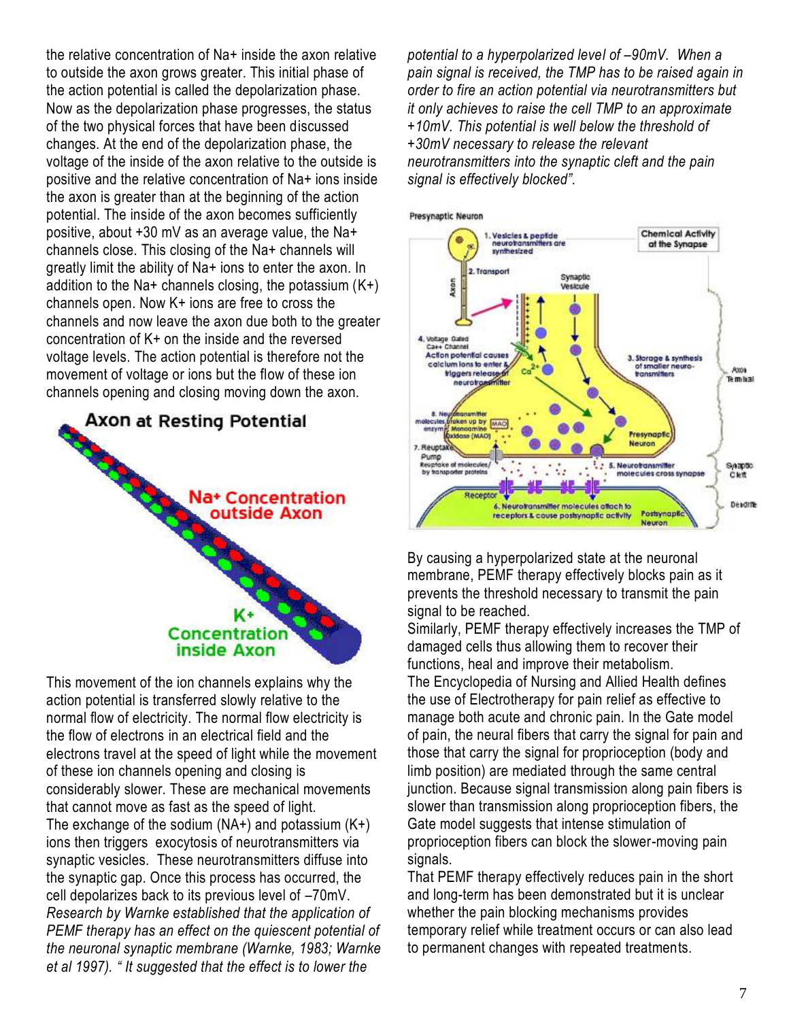the relative concentration of Na+ inside the axon relative to outside the axon grows greater. This initial phase of the action potential is called the depolarization phase. Now as the depolarization phase progresses, the status of the two physical forces that have been discussed changes. At the end of the depolarization phase, the voltage of the inside of the axon relative to the outside is positive and the relative concentration of Na+ ions inside the axon is greater than at the beginning of the action potential. The inside of the axon becomes sufficiently positive, about +30 mV as an average value, the Na+ channels close. This closing of the Na+ channels will greatly limit the ability of Na+ ions to enter the axon. In addition to the Na+ channels closing, the potassium  $(K+)$ channels open. Now K+ ions are free to cross the channels and now leave the axon due both to the greater concentration of K+ on the inside and the reversed voltage levels. The action potential is therefore not the movement of voltage or ions but the flow of these ion channels opening and closing moving down the axon.



This movement of the ion channels explains why the action potential is transferred slowly relative to the normal flow of electricity. The normal flow electricity is the flow of electrons in an electrical field and the electrons travel at the speed of light while the movement of these ion channels opening and closing is considerably slower. These are mechanical movements that cannot move as fast as the speed of light. The exchange of the sodium  $(NA+)$  and potassium  $(K+)$ ions then triggers exocytosis of neurotransmitters via synaptic vesicles. These neurotransmitters diffuse into the synaptic gap. Once this process has occurred, the cell depolarizes back to its previous level of –70mV. *Research by Warnke established that the application of PEMF therapy has an effect on the quiescent potential of the neuronal synaptic membrane (Warnke, 1983; Warnke et al 1997). " It suggested that the effect is to lower the* 

*potential to a hyperpolarized level of –90mV. When a pain signal is received, the TMP has to be raised again in order to fire an action potential via neurotransmitters but it only achieves to raise the cell TMP to an approximate +10mV. This potential is well below the threshold of +30mV necessary to release the relevant neurotransmitters into the synaptic cleft and the pain signal is effectively blocked".*



By causing a hyperpolarized state at the neuronal membrane, PEMF therapy effectively blocks pain as it prevents the threshold necessary to transmit the pain signal to be reached.

Similarly, PEMF therapy effectively increases the TMP of damaged cells thus allowing them to recover their functions, heal and improve their metabolism. The Encyclopedia of Nursing and Allied Health defines the use of Electrotherapy for pain relief as effective to manage both acute and chronic pain. In the Gate model of pain, the neural fibers that carry the signal for pain and those that carry the signal for proprioception (body and limb position) are mediated through the same central junction. Because signal transmission along pain fibers is slower than transmission along proprioception fibers, the Gate model suggests that intense stimulation of proprioception fibers can block the slower-moving pain signals.

That PEMF therapy effectively reduces pain in the short and long-term has been demonstrated but it is unclear whether the pain blocking mechanisms provides temporary relief while treatment occurs or can also lead to permanent changes with repeated treatments.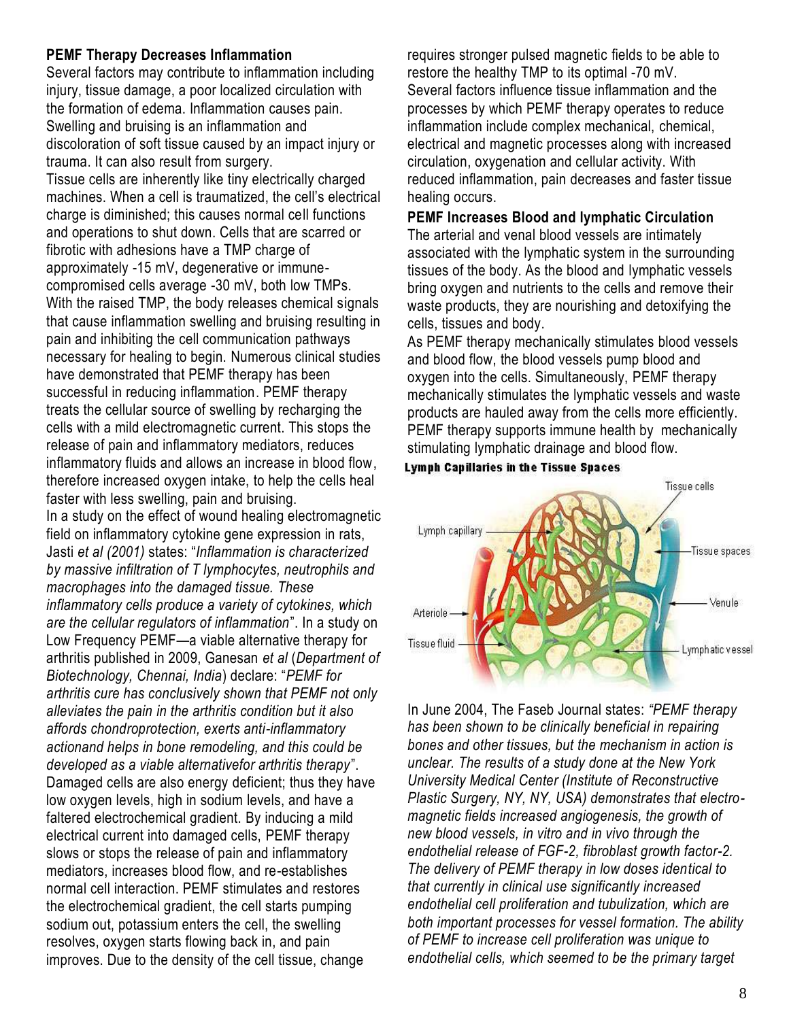### **PEMF Therapy Decreases Inflammation**

Several factors may contribute to inflammation including injury, tissue damage, a poor localized circulation with the formation of edema. Inflammation causes pain. Swelling and bruising is an inflammation and discoloration of soft tissue caused by an impact injury or trauma. It can also result from surgery.

Tissue cells are inherently like tiny electrically charged machines. When a cell is traumatized, the cell's electrical charge is diminished; this causes normal cell functions and operations to shut down. Cells that are scarred or fibrotic with adhesions have a TMP charge of approximately -15 mV, degenerative or immunecompromised cells average -30 mV, both low TMPs. With the raised TMP, the body releases chemical signals that cause inflammation swelling and bruising resulting in pain and inhibiting the cell communication pathways necessary for healing to begin. Numerous clinical studies have demonstrated that PEMF therapy has been successful in reducing inflammation. PEMF therapy treats the cellular source of swelling by recharging the cells with a mild electromagnetic current. This stops the release of pain and inflammatory mediators, reduces inflammatory fluids and allows an increase in blood flow, therefore increased oxygen intake, to help the cells heal faster with less swelling, pain and bruising. In a study on the effect of wound healing electromagnetic field on inflammatory cytokine gene expression in rats, Jasti *et al (2001)* states: ―*Inflammation is characterized by massive infiltration of T lymphocytes, neutrophils and macrophages into the damaged tissue. These inflammatory cells produce a variety of cytokines, which are the cellular regulators of inflammation*‖. In a study on Low Frequency PEMF—a viable alternative therapy for arthritis published in 2009, Ganesan *et al* (*Department of Biotechnology, Chennai, India*) declare: ―*PEMF for arthritis cure has conclusively shown that PEMF not only alleviates the pain in the arthritis condition but it also affords chondroprotection, exerts anti-inflammatory actionand helps in bone remodeling, and this could be developed as a viable alternativefor arthritis therapy*‖. Damaged cells are also energy deficient; thus they have low oxygen levels, high in sodium levels, and have a faltered electrochemical gradient. By inducing a mild electrical current into damaged cells, PEMF therapy slows or stops the release of pain and inflammatory mediators, increases blood flow, and re-establishes normal cell interaction. PEMF stimulates and restores the electrochemical gradient, the cell starts pumping sodium out, potassium enters the cell, the swelling resolves, oxygen starts flowing back in, and pain improves. Due to the density of the cell tissue, change

requires stronger pulsed magnetic fields to be able to restore the healthy TMP to its optimal -70 mV. Several factors influence tissue inflammation and the processes by which PEMF therapy operates to reduce inflammation include complex mechanical, chemical, electrical and magnetic processes along with increased circulation, oxygenation and cellular activity. With reduced inflammation, pain decreases and faster tissue healing occurs.

#### **PEMF Increases Blood and lymphatic Circulation** The arterial and venal blood vessels are intimately

associated with the lymphatic system in the surrounding tissues of the body. As the blood and lymphatic vessels bring oxygen and nutrients to the cells and remove their waste products, they are nourishing and detoxifying the cells, tissues and body.

As PEMF therapy mechanically stimulates blood vessels and blood flow, the blood vessels pump blood and oxygen into the cells. Simultaneously, PEMF therapy mechanically stimulates the lymphatic vessels and waste products are hauled away from the cells more efficiently. PEMF therapy supports immune health by mechanically stimulating lymphatic drainage and blood flow.





In June 2004, The Faseb Journal states: *"PEMF therapy has been shown to be clinically beneficial in repairing bones and other tissues, but the mechanism in action is unclear. The results of a study done at the New York University Medical Center (Institute of Reconstructive Plastic Surgery, NY, NY, USA) demonstrates that electromagnetic fields increased angiogenesis, the growth of new blood vessels, in vitro and in vivo through the endothelial release of FGF-2, fibroblast growth factor-2. The delivery of PEMF therapy in low doses identical to that currently in clinical use significantly increased endothelial cell proliferation and tubulization, which are both important processes for vessel formation. The ability of PEMF to increase cell proliferation was unique to endothelial cells, which seemed to be the primary target*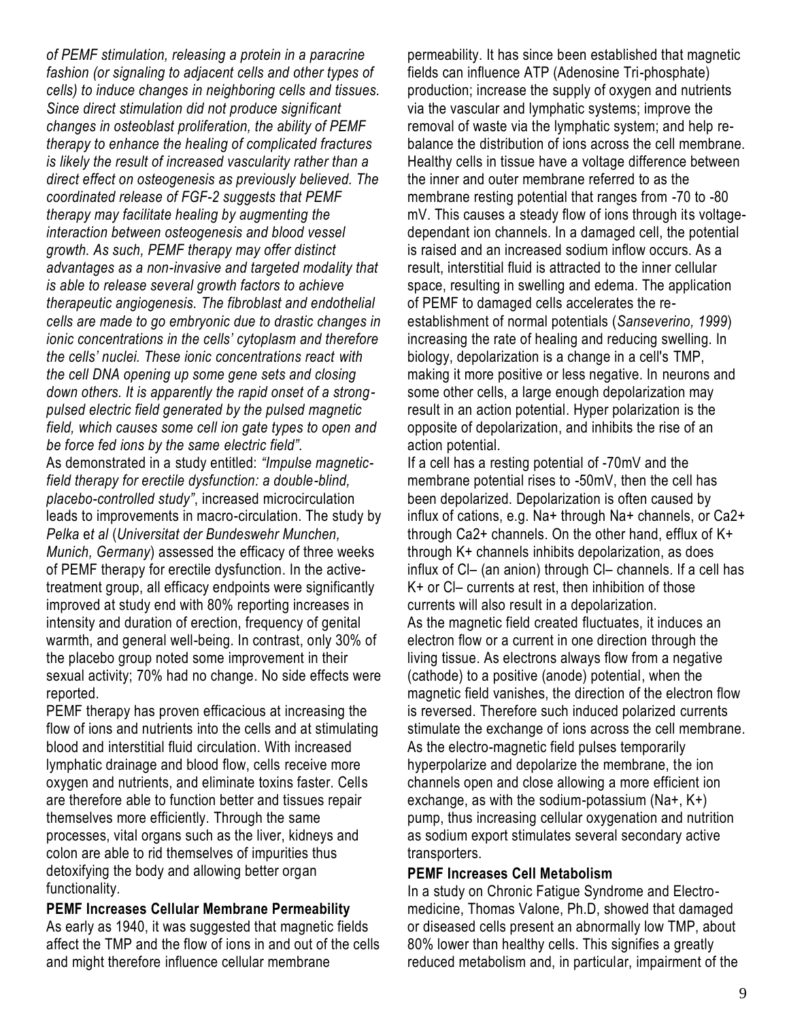*of PEMF stimulation, releasing a protein in a paracrine fashion (or signaling to adjacent cells and other types of cells) to induce changes in neighboring cells and tissues. Since direct stimulation did not produce significant changes in osteoblast proliferation, the ability of PEMF therapy to enhance the healing of complicated fractures is likely the result of increased vascularity rather than a direct effect on osteogenesis as previously believed. The coordinated release of FGF-2 suggests that PEMF therapy may facilitate healing by augmenting the interaction between osteogenesis and blood vessel growth. As such, PEMF therapy may offer distinct advantages as a non-invasive and targeted modality that is able to release several growth factors to achieve therapeutic angiogenesis. The fibroblast and endothelial cells are made to go embryonic due to drastic changes in ionic concentrations in the cells' cytoplasm and therefore the cells' nuclei. These ionic concentrations react with the cell DNA opening up some gene sets and closing down others. It is apparently the rapid onset of a strongpulsed electric field generated by the pulsed magnetic field, which causes some cell ion gate types to open and be force fed ions by the same electric field".* As demonstrated in a study entitled: *"Impulse magneticfield therapy for erectile dysfunction: a double-blind, placebo-controlled study"*, increased microcirculation leads to improvements in macro-circulation. The study by *Pelka* e*t al* (*Universitat der Bundeswehr Munchen, Munich, Germany*) assessed the efficacy of three weeks of PEMF therapy for erectile dysfunction. In the activetreatment group, all efficacy endpoints were significantly improved at study end with 80% reporting increases in intensity and duration of erection, frequency of genital warmth, and general well-being. In contrast, only 30% of the placebo group noted some improvement in their sexual activity; 70% had no change. No side effects were reported.

PEMF therapy has proven efficacious at increasing the flow of ions and nutrients into the cells and at stimulating blood and interstitial fluid circulation. With increased lymphatic drainage and blood flow, cells receive more oxygen and nutrients, and eliminate toxins faster. Cells are therefore able to function better and tissues repair themselves more efficiently. Through the same processes, vital organs such as the liver, kidneys and colon are able to rid themselves of impurities thus detoxifying the body and allowing better organ functionality.

**PEMF Increases Cellular Membrane Permeability** As early as 1940, it was suggested that magnetic fields affect the TMP and the flow of ions in and out of the cells and might therefore influence cellular membrane

permeability. It has since been established that magnetic fields can influence ATP (Adenosine Tri-phosphate) production; increase the supply of oxygen and nutrients via the vascular and lymphatic systems; improve the removal of waste via the lymphatic system; and help rebalance the distribution of ions across the cell membrane. Healthy cells in tissue have a voltage difference between the inner and outer membrane referred to as the membrane resting potential that ranges from -70 to -80 mV. This causes a steady flow of ions through its voltagedependant ion channels. In a damaged cell, the potential is raised and an increased sodium inflow occurs. As a result, interstitial fluid is attracted to the inner cellular space, resulting in swelling and edema. The application of PEMF to damaged cells accelerates the reestablishment of normal potentials (*Sanseverino, 1999*) increasing the rate of healing and reducing swelling. In biology, depolarization is a change in a cell's [TMP,](http://en.wikipedia.org/wiki/Membrane_potential) making it more positive or less negative. In [neurons](http://en.wikipedia.org/wiki/Neurons) and some other cells, a large enough depolarization may result in an [action potential.](http://en.wikipedia.org/wiki/Action_potential) [Hyper polarization](http://en.wikipedia.org/wiki/Hyperpolarization_%28biology%29) is the opposite of depolarization, and inhibits the rise of an action potential.

If a cell has a [resting potential](http://en.wikipedia.org/wiki/Resting_potential) of -70mV and the membrane potential rises to -50mV, then the cell has been depolarized. Depolarization is often caused by influx of [cations,](http://en.wikipedia.org/wiki/Cation) e.g. [Na+](http://en.wikipedia.org/wiki/Sodium) through [Na+ channels,](http://en.wikipedia.org/wiki/Sodium_channel) or [Ca2+](http://en.wikipedia.org/wiki/Calcium) through [Ca2+ channels.](http://en.wikipedia.org/wiki/Calcium_channel) On the other hand, efflux of [K+](http://en.wikipedia.org/wiki/Potassium) through [K+ channels](http://en.wikipedia.org/wiki/Potassium_channel) inhibits depolarization, as does influx of [Cl](http://en.wikipedia.org/wiki/Chloride)– (an [anion\)](http://en.wikipedia.org/wiki/Anion) through Cl– [channels.](http://en.wikipedia.org/wiki/Chloride_channel) If a cell has K+ or Cl– currents at rest, then inhibition of those currents will also result in a depolarization. As the magnetic field created fluctuates, it induces an electron flow or a current in one direction through the living tissue. As electrons always flow from a negative (cathode) to a positive (anode) potential, when the magnetic field vanishes, the direction of the electron flow is reversed. Therefore such induced polarized currents stimulate the exchange of ions across the cell membrane. As the electro-magnetic field pulses temporarily hyperpolarize and depolarize the membrane, the ion channels open and close allowing a more efficient ion exchange, as with the sodium-potassium (Na+, K+) pump, thus increasing cellular oxygenation and nutrition as sodium export stimulates several secondary active transporters.

### **PEMF Increases Cell Metabolism**

In a study on Chronic Fatigue Syndrome and Electromedicine, Thomas Valone, Ph.D, showed that damaged or diseased cells present an abnormally low TMP, about 80% lower than healthy cells. This signifies a greatly reduced metabolism and, in particular, impairment of the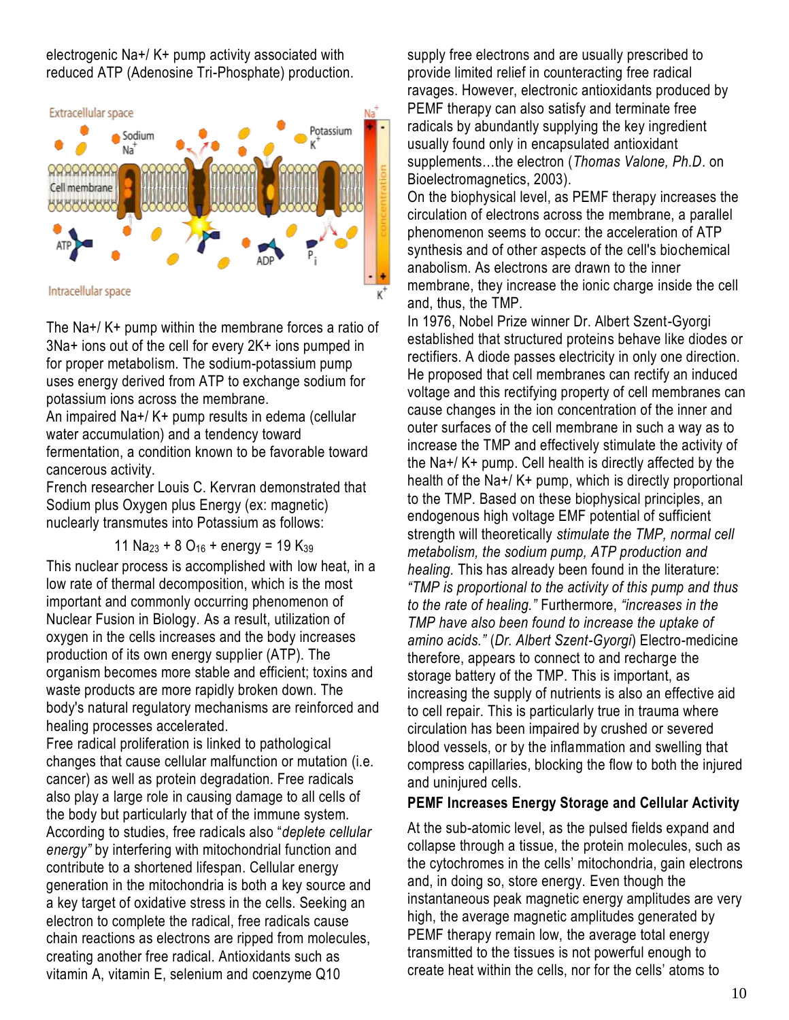electrogenic Na+/ K+ pump activity associated with reduced ATP (Adenosine Tri-Phosphate) production.



The Na+/ K+ pump within the membrane forces a ratio of 3Na+ ions out of the cell for every 2K+ ions pumped in for proper metabolism. The sodium-potassium pump uses energy derived from ATP to exchange sodium for potassium ions across the membrane.

An impaired Na+/ K+ pump results in edema (cellular water accumulation) and a tendency toward fermentation, a condition known to be favorable toward cancerous activity.

French researcher Louis C. Kervran demonstrated that Sodium plus Oxygen plus Energy (ex: magnetic) nuclearly transmutes into Potassium as follows:

11 Na<sub>23</sub> + 8 O<sub>16</sub> + energy = 19 K<sub>39</sub>

This nuclear process is accomplished with low heat, in a low rate of thermal decomposition, which is the most important and commonly occurring phenomenon of Nuclear Fusion in Biology. As a result, utilization of oxygen in the cells increases and the body increases production of its own energy supplier (ATP). The organism becomes more stable and efficient; toxins and waste products are more rapidly broken down. The body's natural regulatory mechanisms are reinforced and healing processes accelerated.

Free radical proliferation is linked to pathological changes that cause cellular malfunction or mutation (i.e. cancer) as well as protein degradation. Free radicals also play a large role in causing damage to all cells of the body but particularly that of the immune system. According to studies, free radicals also ―*deplete cellular energy"* by interfering with mitochondrial function and contribute to a shortened lifespan. Cellular energy generation in the mitochondria is both a key source and a key target of oxidative stress in the cells. Seeking an electron to complete the radical, free radicals cause chain reactions as electrons are ripped from molecules, creating another free radical. Antioxidants such as vitamin A, vitamin E, selenium and coenzyme Q10

supply free electrons and are usually prescribed to provide limited relief in counteracting free radical ravages. However, electronic antioxidants produced by PEMF therapy can also satisfy and terminate free radicals by abundantly supplying the key ingredient usually found only in encapsulated antioxidant supplements…the electron (*Thomas Valone, Ph.D*. on Bioelectromagnetics, 2003).

On the biophysical level, as PEMF therapy increases the circulation of electrons across the membrane, a parallel phenomenon seems to occur: the acceleration of ATP synthesis and of other aspects of the cell's biochemical anabolism. As electrons are drawn to the inner membrane, they increase the ionic charge inside the cell and, thus, the TMP.

In 1976, Nobel Prize winner Dr. Albert Szent-Gyorgi established that structured proteins behave like diodes or rectifiers. A diode passes electricity in only one direction. He proposed that cell membranes can rectify an induced voltage and this rectifying property of cell membranes can cause changes in the ion concentration of the inner and outer surfaces of the cell membrane in such a way as to increase the TMP and effectively stimulate the activity of the Na+/ K+ pump. Cell health is directly affected by the health of the Na+/ K+ pump, which is directly proportional to the TMP. Based on these biophysical principles, an endogenous high voltage EMF potential of sufficient strength will theoretically *stimulate the TMP, normal cell metabolism, the sodium pump, ATP production and healing.* This has already been found in the literature: *"TMP is proportional to the activity of this pump and thus to the rate of healing."* Furthermore, *"increases in the TMP have also been found to increase the uptake of amino acids."* (*Dr. Albert Szent-Gyorgi*) Electro-medicine therefore, appears to connect to and recharge the storage battery of the TMP. This is important, as increasing the supply of nutrients is also an effective aid to cell repair. This is particularly true in trauma where circulation has been impaired by crushed or severed blood vessels, or by the inflammation and swelling that compress capillaries, blocking the flow to both the injured and uninjured cells.

# **PEMF Increases Energy Storage and Cellular Activity**

At the sub-atomic level, as the pulsed fields expand and collapse through a tissue, the protein molecules, such as the cytochromes in the cells' mitochondria, gain electrons and, in doing so, store energy. Even though the instantaneous peak magnetic energy amplitudes are very high, the average magnetic amplitudes generated by PEMF therapy remain low, the average total energy transmitted to the tissues is not powerful enough to create heat within the cells, nor for the cells' atoms to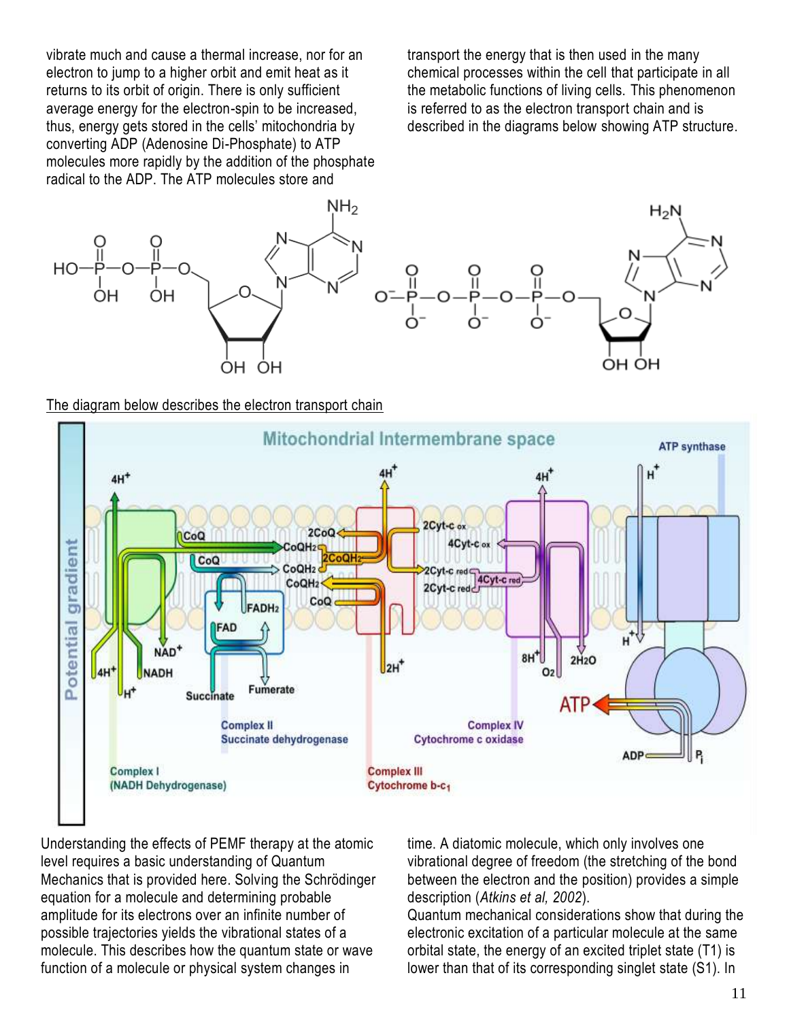vibrate much and cause a thermal increase, nor for an electron to jump to a higher orbit and emit heat as it returns to its orbit of origin. There is only sufficient average energy for the electron-spin to be increased, thus, energy gets stored in the cells' mitochondria by converting ADP (Adenosine Di-Phosphate) to ATP molecules more rapidly by the addition of the phosphate radical to the ADP. The ATP molecules store and

transport the energy that is then used in the many chemical processes within the cell that participate in all the metabolic functions of living cells. This phenomenon is referred to as the electron transport chain and is described in the diagrams below showing ATP structure.



#### The diagram below describes the electron transport chain



Understanding the effects of PEMF therapy at the atomic level requires a basic understanding of Quantum Mechanics that is provided here. Solving the Schrödinger equation for a molecule and determining probable amplitude for its electrons over an infinite number of possible trajectories yields the vibrational states of a molecule. This describes how the quantum state or wave function of a molecule or physical system changes in

time. A diatomic molecule, which only involves one vibrational degree of freedom (the stretching of the bond between the electron and the position) provides a simple description (*Atkins et al, 2002*).

Quantum mechanical considerations show that during the electronic excitation of a particular molecule at the same orbital state, the energy of an excited triplet state (T1) is lower than that of its corresponding singlet state (S1). In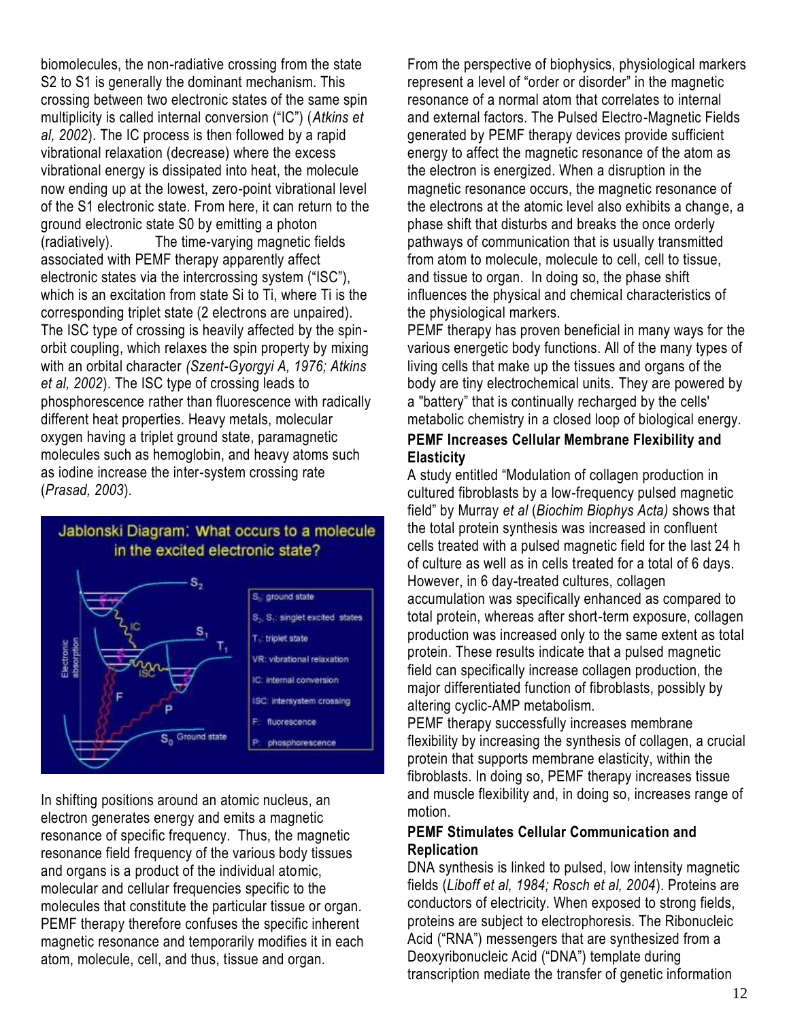biomolecules, the non-radiative crossing from the state S2 to S1 is generally the dominant mechanism. This crossing between two electronic states of the same spin multiplicity is called internal conversion ("IC") (*Atkins et al, 2002*). The IC process is then followed by a rapid vibrational relaxation (decrease) where the excess vibrational energy is dissipated into heat, the molecule now ending up at the lowest, zero-point vibrational level of the S1 electronic state. From here, it can return to the ground electronic state S0 by emitting a photon (radiatively). The time-varying magnetic fields associated with PEMF therapy apparently affect electronic states via the intercrossing system ("ISC"), which is an excitation from state Si to Ti, where Ti is the corresponding triplet state (2 electrons are unpaired). The ISC type of crossing is heavily affected by the spinorbit coupling, which relaxes the spin property by mixing with an orbital character *(Szent-Gyorgyi A, 1976; Atkins et al, 2002*). The ISC type of crossing leads to phosphorescence rather than fluorescence with radically different heat properties. Heavy metals, molecular oxygen having a triplet ground state, paramagnetic molecules such as hemoglobin, and heavy atoms such as iodine increase the inter-system crossing rate (*Prasad, 2003*).



In shifting positions around an atomic nucleus, an electron generates energy and emits a magnetic resonance of specific frequency. Thus, the magnetic resonance field frequency of the various body tissues and organs is a product of the individual atomic, molecular and cellular frequencies specific to the molecules that constitute the particular tissue or organ. PEMF therapy therefore confuses the specific inherent magnetic resonance and temporarily modifies it in each atom, molecule, cell, and thus, tissue and organ.

From the perspective of biophysics, physiological markers represent a level of "order or disorder" in the magnetic resonance of a normal atom that correlates to internal and external factors. The Pulsed Electro-Magnetic Fields generated by PEMF therapy devices provide sufficient energy to affect the magnetic resonance of the atom as the electron is energized. When a disruption in the magnetic resonance occurs, the magnetic resonance of the electrons at the atomic level also exhibits a change, a phase shift that disturbs and breaks the once orderly pathways of communication that is usually transmitted from atom to molecule, molecule to cell, cell to tissue, and tissue to organ. In doing so, the phase shift influences the physical and chemical characteristics of the physiological markers.

PEMF therapy has proven beneficial in many ways for the various energetic body functions. All of the many types of living cells that make up the tissues and organs of the body are tiny electrochemical units. They are powered by a "battery" that is continually recharged by the cells' metabolic chemistry in a closed loop of biological energy.

# **PEMF Increases Cellular Membrane Flexibility and Elasticity**

A study entitled "Modulation of collagen production in cultured fibroblasts by a low-frequency pulsed magnetic field‖ by Murray *et al* (*Biochim Biophys Acta)* shows that the total protein synthesis was increased in confluent cells treated with a pulsed magnetic field for the last 24 h of culture as well as in cells treated for a total of 6 days. However, in 6 day-treated cultures, collagen accumulation was specifically enhanced as compared to total protein, whereas after short-term exposure, collagen production was increased only to the same extent as total protein. These results indicate that a pulsed magnetic field can specifically increase collagen production, the major differentiated function of fibroblasts, possibly by altering cyclic-AMP metabolism.

PEMF therapy successfully increases membrane flexibility by increasing the synthesis of collagen, a crucial protein that supports membrane elasticity, within the fibroblasts. In doing so, PEMF therapy increases tissue and muscle flexibility and, in doing so, increases range of motion.

# **PEMF Stimulates Cellular Communication and Replication**

DNA synthesis is linked to pulsed, low intensity magnetic fields (*Liboff et al, 1984; Rosch et al, 2004*). Proteins are conductors of electricity. When exposed to strong fields, proteins are subject to electrophoresis. The Ribonucleic Acid ("RNA") messengers that are synthesized from a Deoxyribonucleic Acid ("DNA") template during transcription [mediate](http://www.answers.com/topic/mediate) the transfer of genetic information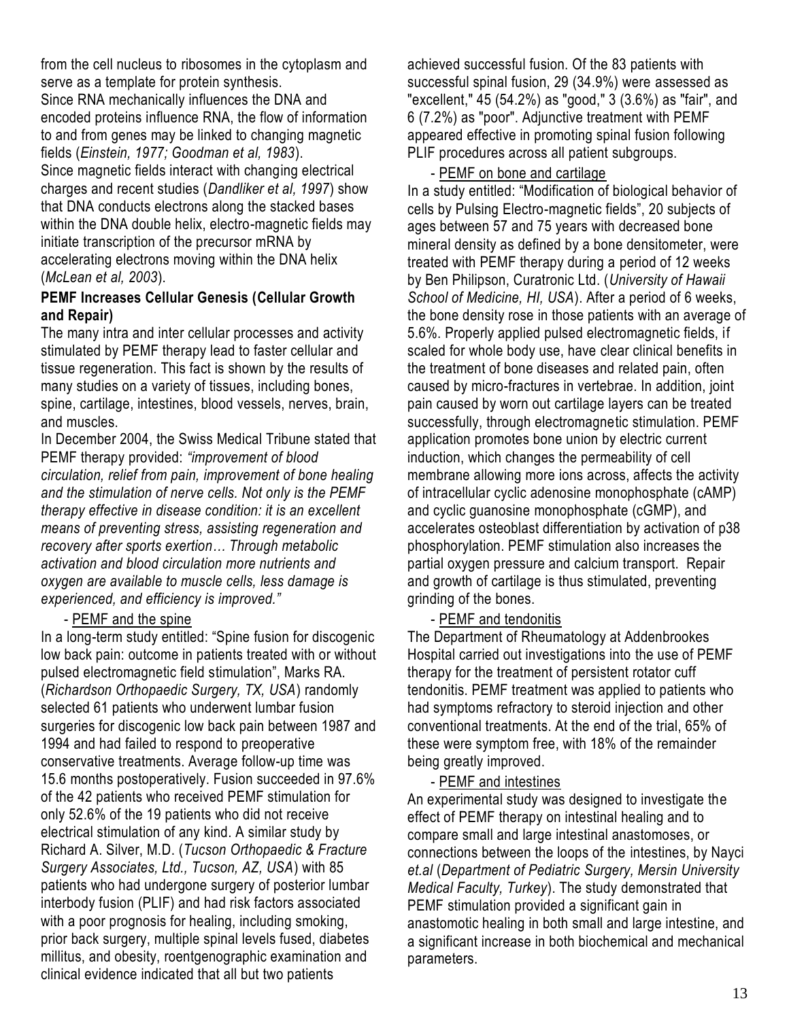from the cell nucleus to [ribosomes](http://www.answers.com/topic/ribosomes) in the [cytoplasm](http://www.answers.com/topic/cytoplasm) and serve as a template for protein synthesis. Since RNA mechanically influences the DNA and encoded proteins influence RNA, the flow of information to and from genes may be linked to changing magnetic fields (*Einstein, 1977; Goodman et al, 1983*). Since magnetic fields interact with changing electrical charges and recent studies (*Dandliker et al, 1997*) show that DNA conducts electrons along the stacked bases within the DNA double helix, electro-magnetic fields may initiate transcription of the precursor mRNA by accelerating electrons moving within the DNA helix (*McLean et al, 2003*).

# **PEMF Increases Cellular Genesis (Cellular Growth and Repair)**

The many intra and inter cellular processes and activity stimulated by PEMF therapy lead to faster cellular and tissue regeneration. This fact is shown by the results of many studies on a variety of tissues, including bones, spine, cartilage, intestines, blood vessels, nerves, brain, and muscles.

In December 2004, the Swiss Medical Tribune stated that PEMF therapy provided: *"improvement of blood circulation, relief from pain, improvement of bone healing and the stimulation of nerve cells. Not only is the PEMF therapy effective in disease condition: it is an excellent means of preventing stress, assisting regeneration and recovery after sports exertion… Through metabolic activation and blood circulation more nutrients and oxygen are available to muscle cells, less damage is experienced, and efficiency is improved."*

# - PEMF and the spine

In a long-term study entitled: "Spine fusion for discogenic low back pain: outcome in patients treated with or without pulsed electromagnetic field stimulation", Marks RA. (*Richardson Orthopaedic Surgery, TX, USA*) randomly selected 61 patients who underwent lumbar fusion surgeries for discogenic low back pain between 1987 and 1994 and had failed to respond to preoperative conservative treatments. Average follow-up time was 15.6 months postoperatively. Fusion succeeded in 97.6% of the 42 patients who received PEMF stimulation for only 52.6% of the 19 patients who did not receive electrical stimulation of any kind. A similar study by Richard A. Silver, M.D. (*Tucson Orthopaedic & Fracture Surgery Associates, Ltd., Tucson, AZ, USA*) with 85 patients who had undergone surgery of posterior lumbar interbody fusion (PLIF) and had risk factors associated with a poor prognosis for healing, including smoking, prior back surgery, multiple spinal levels fused, diabetes millitus, and obesity, roentgenographic examination and clinical evidence indicated that all but two patients

achieved successful fusion. Of the 83 patients with successful spinal fusion, 29 (34.9%) were assessed as "excellent," 45 (54.2%) as "good," 3 (3.6%) as "fair", and 6 (7.2%) as "poor". Adjunctive treatment with PEMF appeared effective in promoting spinal fusion following PLIF procedures across all patient subgroups.

# - PEMF on bone and cartilage

In a study entitled: "Modification of biological behavior of cells by Pulsing Electro-magnetic fields", 20 subjects of ages between 57 and 75 years with decreased bone mineral density as defined by a bone densitometer, were treated with PEMF therapy during a period of 12 weeks by Ben Philipson, Curatronic Ltd. (*University of Hawaii School of Medicine, HI, USA*). After a period of 6 weeks, the bone density rose in those patients with an average of 5.6%. Properly applied pulsed electromagnetic fields, if scaled for whole body use, have clear clinical benefits in the treatment of bone diseases and related pain, often caused by micro-fractures in vertebrae. In addition, joint pain caused by worn out cartilage layers can be treated successfully, through electromagnetic stimulation. PEMF application promotes bone union by electric current induction, which changes the permeability of cell membrane allowing more ions across, affects the activity of intracellular cyclic adenosine monophosphate (cAMP) and cyclic guanosine monophosphate (cGMP), and accelerates osteoblast differentiation by activation of p38 phosphorylation. PEMF stimulation also increases the partial oxygen pressure and calcium transport. Repair and growth of cartilage is thus stimulated, preventing grinding of the bones.

# - PEMF and tendonitis

The Department of Rheumatology at Addenbrookes Hospital carried out investigations into the use of PEMF therapy for the treatment of persistent rotator cuff tendonitis. PEMF treatment was applied to patients who had symptoms refractory to steroid injection and other conventional treatments. At the end of the trial, 65% of these were symptom free, with 18% of the remainder being greatly improved.

# - PEMF and intestines

An experimental study was designed to investigate the effect of PEMF therapy on intestinal healing and to compare small and large intestinal anastomoses, or connections between the loops of the intestines, by Nayci *et.al* (*Department of Pediatric Surgery, Mersin University Medical Faculty, Turkey*). The study demonstrated that PEMF stimulation provided a significant gain in anastomotic healing in both small and large intestine, and a significant increase in both biochemical and mechanical parameters.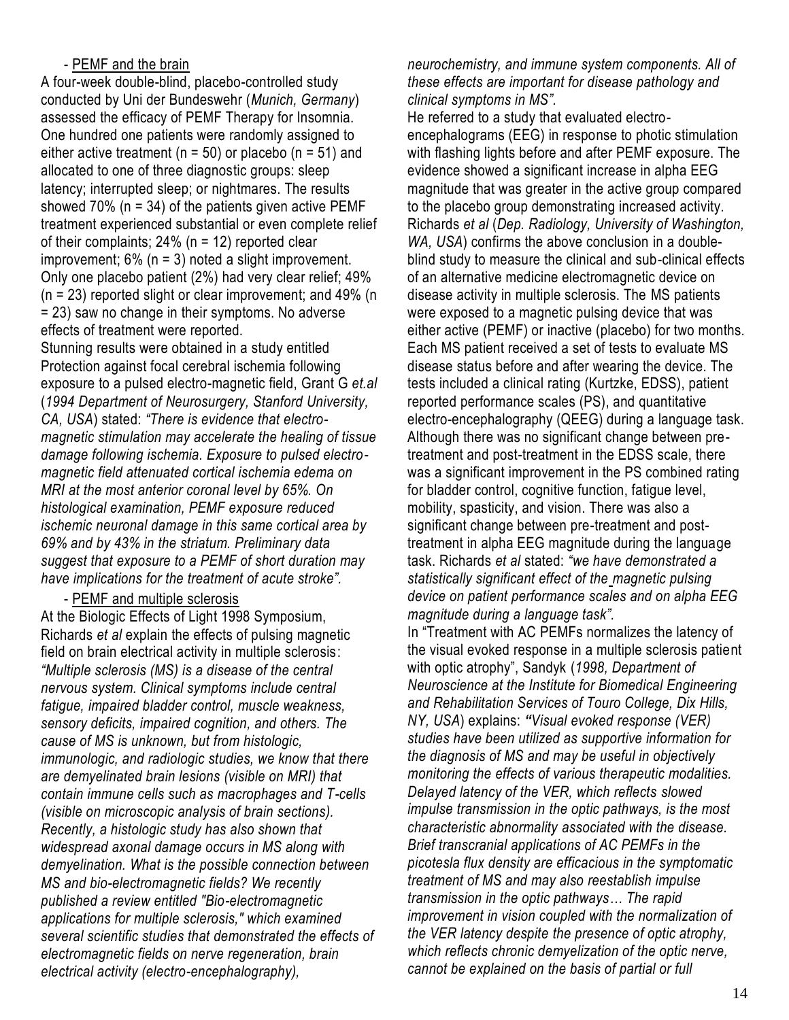# - PEMF and the brain

A four-week double-blind, placebo-controlled study conducted by Uni der Bundeswehr (*Munich, Germany*) assessed the efficacy of PEMF Therapy for Insomnia. One hundred one patients were randomly assigned to either active treatment ( $n = 50$ ) or placebo ( $n = 51$ ) and allocated to one of three diagnostic groups: sleep latency; interrupted sleep; or nightmares. The results showed 70% ( $n = 34$ ) of the patients given active PEMF treatment experienced substantial or even complete relief of their complaints; 24% (n = 12) reported clear improvement; 6% (n = 3) noted a slight improvement. Only one placebo patient (2%) had very clear relief; 49%  $(n = 23)$  reported slight or clear improvement; and 49%  $(n = 23)$ = 23) saw no change in their symptoms. No adverse effects of treatment were reported.

Stunning results were obtained in a study entitled Protection against focal cerebral ischemia following exposure to a pulsed electro-magnetic field, Grant G *et.al* (*1994 Department of Neurosurgery, Stanford University, CA, USA*) stated: *"There is evidence that electromagnetic stimulation may accelerate the healing of tissue damage following ischemia. Exposure to pulsed electromagnetic field attenuated cortical ischemia edema on MRI at the most anterior coronal level by 65%. On histological examination, PEMF exposure reduced ischemic neuronal damage in this same cortical area by 69% and by 43% in the striatum. Preliminary data suggest that exposure to a PEMF of short duration may have implications for the treatment of acute stroke".*

- PEMF and multiple sclerosis

At the Biologic Effects of Light 1998 Symposium, Richards *et al* explain the effects of pulsing magnetic field on brain electrical activity in multiple sclerosis: *"Multiple sclerosis (MS) is a disease of the central nervous system. Clinical symptoms include central fatigue, impaired bladder control, muscle weakness, sensory deficits, impaired cognition, and others. The cause of MS is unknown, but from histologic, immunologic, and radiologic studies, we know that there are demyelinated brain lesions (visible on MRI) that contain immune cells such as macrophages and T-cells (visible on microscopic analysis of brain sections). Recently, a histologic study has also shown that widespread axonal damage occurs in MS along with demyelination. What is the possible connection between MS and bio-electromagnetic fields? We recently published a review entitled "Bio-electromagnetic applications for multiple sclerosis," which examined several scientific studies that demonstrated the effects of electromagnetic fields on nerve regeneration, brain electrical activity (electro-encephalography),* 

*neurochemistry, and immune system components. All of these effects are important for disease pathology and clinical symptoms in MS".* 

He referred to a study that evaluated electroencephalograms (EEG) in response to photic stimulation with flashing lights before and after PEMF exposure. The evidence showed a significant increase in alpha EEG magnitude that was greater in the active group compared to the placebo group demonstrating increased activity. Richards *et al* (*Dep. Radiology, University of Washington, WA, USA*) confirms the above conclusion in a doubleblind study to measure the clinical and sub-clinical effects of an alternative medicine electromagnetic device on disease activity in multiple sclerosis. The MS patients were exposed to a magnetic pulsing device that was either active (PEMF) or inactive (placebo) for two months. Each MS patient received a set of tests to evaluate MS disease status before and after wearing the device. The tests included a clinical rating (Kurtzke, EDSS), patient reported performance scales (PS), and quantitative electro-encephalography (QEEG) during a language task. Although there was no significant change between pretreatment and post-treatment in the EDSS scale, there was a significant improvement in the PS combined rating for bladder control, cognitive function, fatigue level, mobility, spasticity, and vision. There was also a significant change between pre-treatment and posttreatment in alpha EEG magnitude during the language task. Richards *et al* stated: *"we have demonstrated a statistically significant effect of the magnetic pulsing device on patient performance scales and on alpha EEG magnitude during a language task".*

In "Treatment with AC PEMFs normalizes the latency of the visual evoked response in a multiple sclerosis patient with optic atrophy", Sandyk (1998, Department of *Neuroscience at the Institute for Biomedical Engineering and Rehabilitation Services of Touro College, Dix Hills, NY, USA*) explains: *"Visual evoked response (VER) studies have been utilized as supportive information for the diagnosis of MS and may be useful in objectively monitoring the effects of various therapeutic modalities. Delayed latency of the VER, which reflects slowed impulse transmission in the optic pathways, is the most characteristic abnormality associated with the disease. Brief transcranial applications of AC PEMFs in the picotesla flux density are efficacious in the symptomatic treatment of MS and may also reestablish impulse transmission in the optic pathways… The rapid improvement in vision coupled with the normalization of the VER latency despite the presence of optic atrophy, which reflects chronic demyelization of the optic nerve, cannot be explained on the basis of partial or full*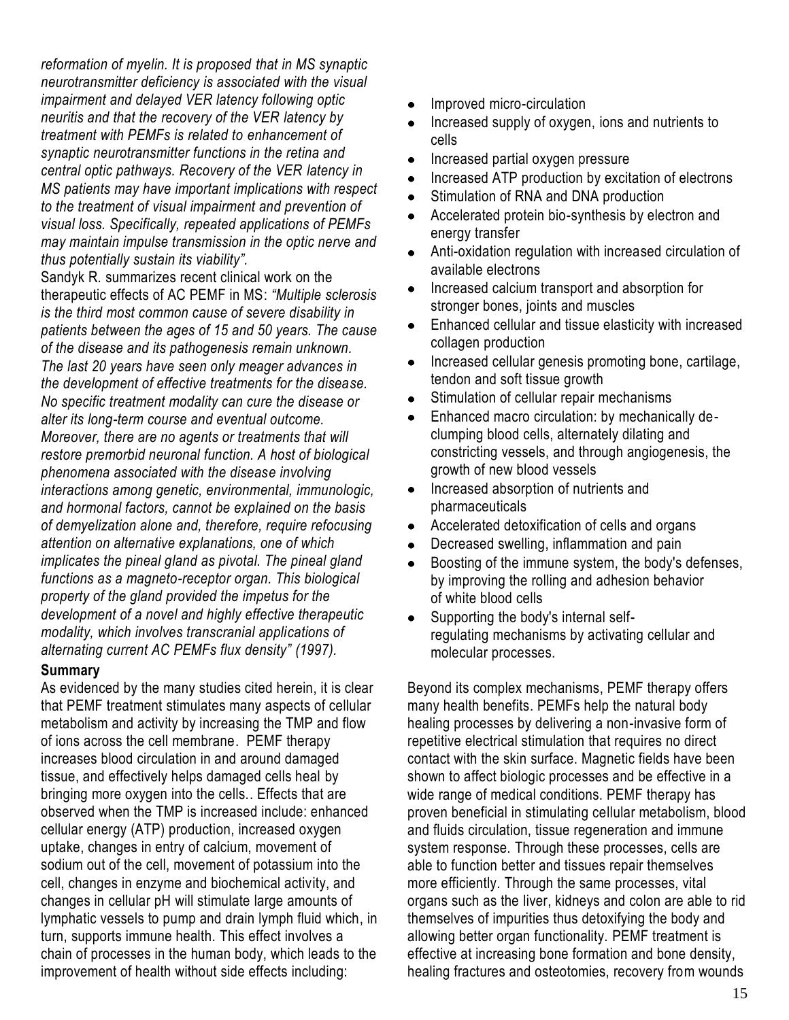*reformation of myelin. It is proposed that in MS synaptic neurotransmitter deficiency is associated with the visual impairment and delayed VER latency following optic neuritis and that the recovery of the VER latency by treatment with PEMFs is related to enhancement of synaptic neurotransmitter functions in the retina and central optic pathways. Recovery of the VER latency in MS patients may have important implications with respect to the treatment of visual impairment and prevention of visual loss. Specifically, repeated applications of PEMFs may maintain impulse transmission in the optic nerve and thus potentially sustain its viability".*

Sandyk R. summarizes recent clinical work on the therapeutic effects of AC PEMF in MS: *"Multiple sclerosis is the third most common cause of severe disability in patients between the ages of 15 and 50 years. The cause of the disease and its pathogenesis remain unknown. The last 20 years have seen only meager advances in the development of effective treatments for the disease. No specific treatment modality can cure the disease or alter its long-term course and eventual outcome. Moreover, there are no agents or treatments that will restore premorbid neuronal function. A host of biological phenomena associated with the disease involving interactions among genetic, environmental, immunologic, and hormonal factors, cannot be explained on the basis of demyelization alone and, therefore, require refocusing attention on alternative explanations, one of which implicates the pineal gland as pivotal. The pineal gland functions as a magneto-receptor organ. This biological property of the gland provided the impetus for the development of a novel and highly effective therapeutic modality, which involves transcranial applications of alternating current AC PEMFs flux density" (1997).*

### **Summary**

As evidenced by the many studies cited herein, it is clear that PEMF treatment stimulates many aspects of cellular metabolism and activity by increasing the TMP and flow of ions across the cell membrane. PEMF therapy increases blood circulation in and around damaged tissue, and effectively helps damaged cells heal by bringing more oxygen into the cells.. Effects that are observed when the TMP is increased include: enhanced cellular energy (ATP) production, increased oxygen uptake, changes in entry of calcium, movement of sodium out of the cell, movement of potassium into the cell, changes in enzyme and biochemical activity, and changes in cellular pH will stimulate large amounts of lymphatic vessels to pump and drain lymph fluid which, in turn, supports immune health. This effect involves a chain of processes in the human body, which leads to the improvement of health without side effects including:

- Improved micro-circulation
- Increased supply of oxygen, ions and nutrients to cells
- Increased partial oxygen pressure
- Increased ATP production by excitation of electrons
- Stimulation of RNA and DNA production  $\bullet$
- Accelerated protein bio-synthesis by electron and energy transfer
- Anti-oxidation regulation with increased circulation of available electrons
- Increased calcium transport and absorption for stronger bones, joints and muscles
- Enhanced cellular and tissue elasticity with increased collagen production
- Increased cellular genesis promoting bone, cartilage, tendon and soft tissue growth
- Stimulation of cellular repair mechanisms
- Enhanced macro circulation: by mechanically declumping blood cells, alternately dilating and constricting vessels, and through angiogenesis, the growth of new blood vessels
- Increased absorption of nutrients and  $\bullet$ pharmaceuticals
- Accelerated detoxification of cells and organs  $\bullet$
- Decreased swelling, inflammation and pain
- Boosting of the immune system, the body's defenses,  $\bullet$ by improving the rolling and adhesion behavior of white blood cells
- Supporting the body's internal self- $\bullet$ regulating mechanisms by activating cellular and molecular processes.

Beyond its complex mechanisms, PEMF therapy offers many health benefits. PEMFs help the natural body healing processes by delivering a non-invasive form of repetitive electrical stimulation that requires no direct contact with the skin surface. Magnetic fields have been shown to affect biologic processes and be effective in a wide range of medical conditions. PEMF therapy has proven beneficial in stimulating cellular metabolism, blood and fluids circulation, tissue regeneration and immune system response. Through these processes, cells are able to function better and tissues repair themselves more efficiently. Through the same processes, vital organs such as the liver, kidneys and colon are able to rid themselves of impurities thus detoxifying the body and allowing better organ functionality. PEMF treatment is effective at increasing bone formation and bone density, healing fractures and osteotomies, recovery from wounds